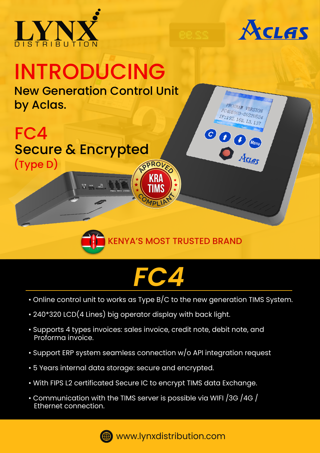



PROGRAM VERSION TC4DE003-20220524 2:192.168.13.137

**COO** Menu

# INTRODUCING

New Generation Control Unit by Aclas.

#### $AP$ **RO** FC4 Secure & Encrypted



 $MPI$ 

KRA KRA TIMS

## *FC4*

- Online control unit to works as Type B/C to the new generation TIMS System.
- 240\*320 LCD(4 Lines) big operator display with back light.
- Supports 4 types invoices: sales invoice, credit note, debit note, and Proforma invoice.
- Support ERP system seamless connection w/o API integration request
- 5 Years internal data storage: secure and encrypted.
- With FIPS L2 certificated Secure IC to encrypt TIMS data Exchange.
- Communication with the TIMS server is possible via WIFI /3G /4G / Ethernet connection.